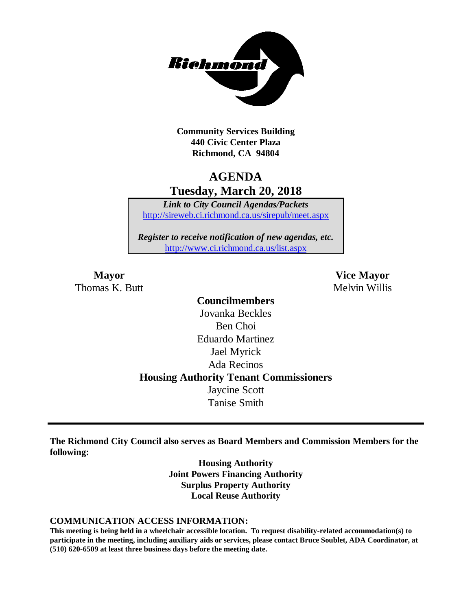

**Community Services Building 440 Civic Center Plaza Richmond, CA 94804**

# **AGENDA Tuesday, March 20, 2018**

*Link to City Council Agendas/Packets* <http://sireweb.ci.richmond.ca.us/sirepub/meet.aspx>

*Register to receive notification of new agendas, etc.* <http://www.ci.richmond.ca.us/list.aspx>

Thomas K. Butt Melvin Willis

**Mayor Vice Mayor**

**Councilmembers** Jovanka Beckles Ben Choi Eduardo Martinez Jael Myrick Ada Recinos **Housing Authority Tenant Commissioners** Jaycine Scott Tanise Smith

**The Richmond City Council also serves as Board Members and Commission Members for the following:**

> **Housing Authority Joint Powers Financing Authority Surplus Property Authority Local Reuse Authority**

#### **COMMUNICATION ACCESS INFORMATION:**

**This meeting is being held in a wheelchair accessible location. To request disability-related accommodation(s) to participate in the meeting, including auxiliary aids or services, please contact Bruce Soublet, ADA Coordinator, at (510) 620-6509 at least three business days before the meeting date.**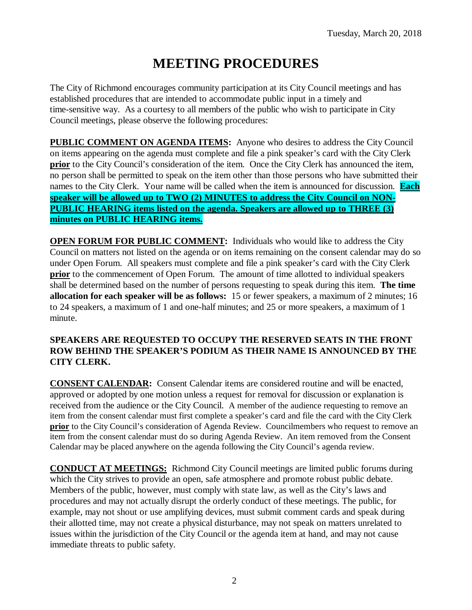# **MEETING PROCEDURES**

The City of Richmond encourages community participation at its City Council meetings and has established procedures that are intended to accommodate public input in a timely and time-sensitive way. As a courtesy to all members of the public who wish to participate in City Council meetings, please observe the following procedures:

**PUBLIC COMMENT ON AGENDA ITEMS:** Anyone who desires to address the City Council on items appearing on the agenda must complete and file a pink speaker's card with the City Clerk **prior** to the City Council's consideration of the item. Once the City Clerk has announced the item, no person shall be permitted to speak on the item other than those persons who have submitted their names to the City Clerk. Your name will be called when the item is announced for discussion. **Each speaker will be allowed up to TWO (2) MINUTES to address the City Council on NON-PUBLIC HEARING items listed on the agenda. Speakers are allowed up to THREE (3) minutes on PUBLIC HEARING items.**

**OPEN FORUM FOR PUBLIC COMMENT:** Individuals who would like to address the City Council on matters not listed on the agenda or on items remaining on the consent calendar may do so under Open Forum. All speakers must complete and file a pink speaker's card with the City Clerk **prior** to the commencement of Open Forum. The amount of time allotted to individual speakers shall be determined based on the number of persons requesting to speak during this item. **The time allocation for each speaker will be as follows:** 15 or fewer speakers, a maximum of 2 minutes; 16 to 24 speakers, a maximum of 1 and one-half minutes; and 25 or more speakers, a maximum of 1 minute.

#### **SPEAKERS ARE REQUESTED TO OCCUPY THE RESERVED SEATS IN THE FRONT ROW BEHIND THE SPEAKER'S PODIUM AS THEIR NAME IS ANNOUNCED BY THE CITY CLERK.**

**CONSENT CALENDAR:** Consent Calendar items are considered routine and will be enacted, approved or adopted by one motion unless a request for removal for discussion or explanation is received from the audience or the City Council. A member of the audience requesting to remove an item from the consent calendar must first complete a speaker's card and file the card with the City Clerk **prior** to the City Council's consideration of Agenda Review. Councilmembers who request to remove an item from the consent calendar must do so during Agenda Review. An item removed from the Consent Calendar may be placed anywhere on the agenda following the City Council's agenda review.

**CONDUCT AT MEETINGS:** Richmond City Council meetings are limited public forums during which the City strives to provide an open, safe atmosphere and promote robust public debate. Members of the public, however, must comply with state law, as well as the City's laws and procedures and may not actually disrupt the orderly conduct of these meetings. The public, for example, may not shout or use amplifying devices, must submit comment cards and speak during their allotted time, may not create a physical disturbance, may not speak on matters unrelated to issues within the jurisdiction of the City Council or the agenda item at hand, and may not cause immediate threats to public safety.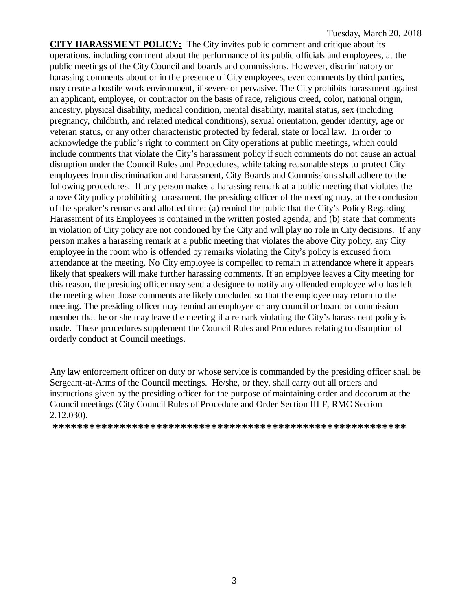**CITY HARASSMENT POLICY:** The City invites public comment and critique about its operations, including comment about the performance of its public officials and employees, at the public meetings of the City Council and boards and commissions. However, discriminatory or harassing comments about or in the presence of City employees, even comments by third parties, may create a hostile work environment, if severe or pervasive. The City prohibits harassment against an applicant, employee, or contractor on the basis of race, religious creed, color, national origin, ancestry, physical disability, medical condition, mental disability, marital status, sex (including pregnancy, childbirth, and related medical conditions), sexual orientation, gender identity, age or veteran status, or any other characteristic protected by federal, state or local law. In order to acknowledge the public's right to comment on City operations at public meetings, which could include comments that violate the City's harassment policy if such comments do not cause an actual disruption under the Council Rules and Procedures, while taking reasonable steps to protect City employees from discrimination and harassment, City Boards and Commissions shall adhere to the following procedures. If any person makes a harassing remark at a public meeting that violates the above City policy prohibiting harassment, the presiding officer of the meeting may, at the conclusion of the speaker's remarks and allotted time: (a) remind the public that the City's Policy Regarding Harassment of its Employees is contained in the written posted agenda; and (b) state that comments in violation of City policy are not condoned by the City and will play no role in City decisions. If any person makes a harassing remark at a public meeting that violates the above City policy, any City employee in the room who is offended by remarks violating the City's policy is excused from attendance at the meeting. No City employee is compelled to remain in attendance where it appears likely that speakers will make further harassing comments. If an employee leaves a City meeting for this reason, the presiding officer may send a designee to notify any offended employee who has left the meeting when those comments are likely concluded so that the employee may return to the meeting. The presiding officer may remind an employee or any council or board or commission member that he or she may leave the meeting if a remark violating the City's harassment policy is made. These procedures supplement the Council Rules and Procedures relating to disruption of orderly conduct at Council meetings.

Any law enforcement officer on duty or whose service is commanded by the presiding officer shall be Sergeant-at-Arms of the Council meetings. He/she, or they, shall carry out all orders and instructions given by the presiding officer for the purpose of maintaining order and decorum at the Council meetings (City Council Rules of Procedure and Order Section III F, RMC Section 2.12.030).

**\*\*\*\*\*\*\*\*\*\*\*\*\*\*\*\*\*\*\*\*\*\*\*\*\*\*\*\*\*\*\*\*\*\*\*\*\*\*\*\*\*\*\*\*\*\*\*\*\*\*\*\*\*\*\*\*\*\***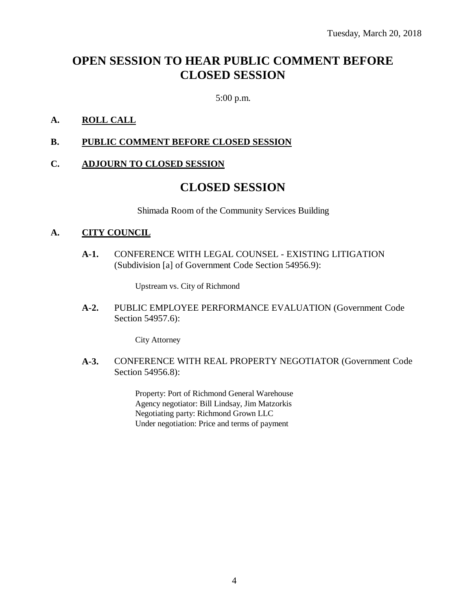# **OPEN SESSION TO HEAR PUBLIC COMMENT BEFORE CLOSED SESSION**

5:00 p.m.

#### **A. ROLL CALL**

#### **B. PUBLIC COMMENT BEFORE CLOSED SESSION**

#### **C. ADJOURN TO CLOSED SESSION**

### **CLOSED SESSION**

Shimada Room of the Community Services Building

#### **A. CITY COUNCIL**

**A-1.** CONFERENCE WITH LEGAL COUNSEL - EXISTING LITIGATION (Subdivision [a] of Government Code Section 54956.9):

Upstream vs. City of Richmond

**A-2.** PUBLIC EMPLOYEE PERFORMANCE EVALUATION (Government Code Section 54957.6):

City Attorney

**A-3.** CONFERENCE WITH REAL PROPERTY NEGOTIATOR (Government Code Section 54956.8):

> Property: Port of Richmond General Warehouse Agency negotiator: Bill Lindsay, Jim Matzorkis Negotiating party: Richmond Grown LLC Under negotiation: Price and terms of payment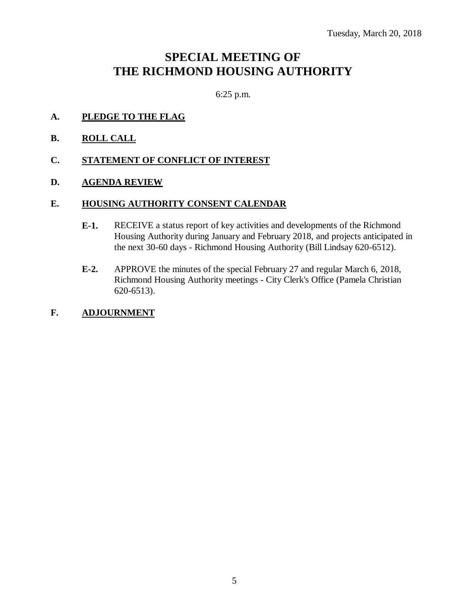# **SPECIAL MEETING OF THE RICHMOND HOUSING AUTHORITY**

6:25 p.m.

- **A. PLEDGE TO THE FLAG**
- **B. ROLL CALL**
- **C. STATEMENT OF CONFLICT OF INTEREST**
- **D. AGENDA REVIEW**

#### **E. HOUSING AUTHORITY CONSENT CALENDAR**

- **E-1.** RECEIVE a status report of key activities and developments of the Richmond Housing Authority during January and February 2018, and projects anticipated in the next 30-60 days - Richmond Housing Authority (Bill Lindsay 620-6512).
- **E-2.** APPROVE the minutes of the special February 27 and regular March 6, 2018, Richmond Housing Authority meetings - City Clerk's Office (Pamela Christian 620-6513).

#### **F. ADJOURNMENT**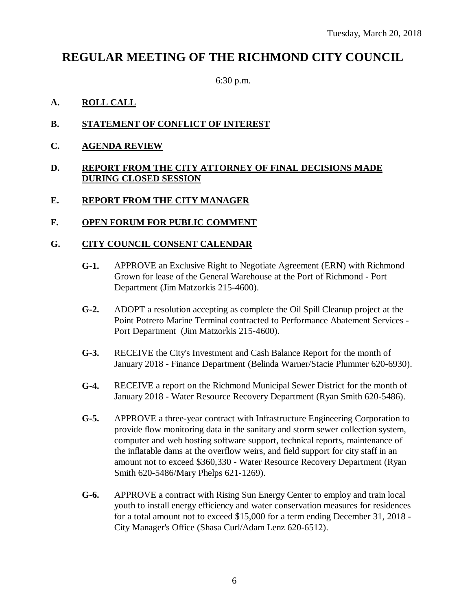## **REGULAR MEETING OF THE RICHMOND CITY COUNCIL**

6:30 p.m.

#### **A. ROLL CALL**

- **B. STATEMENT OF CONFLICT OF INTEREST**
- **C. AGENDA REVIEW**

#### **D. REPORT FROM THE CITY ATTORNEY OF FINAL DECISIONS MADE DURING CLOSED SESSION**

#### **E. REPORT FROM THE CITY MANAGER**

#### **F. OPEN FORUM FOR PUBLIC COMMENT**

#### **G. CITY COUNCIL CONSENT CALENDAR**

- **G-1.** APPROVE an Exclusive Right to Negotiate Agreement (ERN) with Richmond Grown for lease of the General Warehouse at the Port of Richmond - Port Department (Jim Matzorkis 215-4600).
- **G-2.** ADOPT a resolution accepting as complete the Oil Spill Cleanup project at the Point Potrero Marine Terminal contracted to Performance Abatement Services - Port Department (Jim Matzorkis 215-4600).
- **G-3.** RECEIVE the City's Investment and Cash Balance Report for the month of January 2018 - Finance Department (Belinda Warner/Stacie Plummer 620-6930).
- **G-4.** RECEIVE a report on the Richmond Municipal Sewer District for the month of January 2018 - Water Resource Recovery Department (Ryan Smith 620-5486).
- **G-5.** APPROVE a three-year contract with Infrastructure Engineering Corporation to provide flow monitoring data in the sanitary and storm sewer collection system, computer and web hosting software support, technical reports, maintenance of the inflatable dams at the overflow weirs, and field support for city staff in an amount not to exceed \$360,330 - Water Resource Recovery Department (Ryan Smith 620-5486/Mary Phelps 621-1269).
- **G-6.** APPROVE a contract with Rising Sun Energy Center to employ and train local youth to install energy efficiency and water conservation measures for residences for a total amount not to exceed \$15,000 for a term ending December 31, 2018 - City Manager's Office (Shasa Curl/Adam Lenz 620-6512).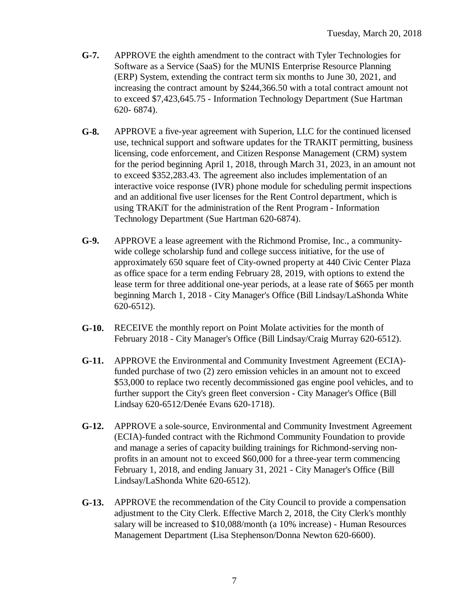- **G-7.** APPROVE the eighth amendment to the contract with Tyler Technologies for Software as a Service (SaaS) for the MUNIS Enterprise Resource Planning (ERP) System, extending the contract term six months to June 30, 2021, and increasing the contract amount by \$244,366.50 with a total contract amount not to exceed \$7,423,645.75 - Information Technology Department (Sue Hartman 620- 6874).
- **G-8.** APPROVE a five-year agreement with Superion, LLC for the continued licensed use, technical support and software updates for the TRAKIT permitting, business licensing, code enforcement, and Citizen Response Management (CRM) system for the period beginning April 1, 2018, through March 31, 2023, in an amount not to exceed \$352,283.43. The agreement also includes implementation of an interactive voice response (IVR) phone module for scheduling permit inspections and an additional five user licenses for the Rent Control department, which is using TRAKiT for the administration of the Rent Program - Information Technology Department (Sue Hartman 620-6874).
- **G-9.** APPROVE a lease agreement with the Richmond Promise, Inc., a communitywide college scholarship fund and college success initiative, for the use of approximately 650 square feet of City-owned property at 440 Civic Center Plaza as office space for a term ending February 28, 2019, with options to extend the lease term for three additional one-year periods, at a lease rate of \$665 per month beginning March 1, 2018 - City Manager's Office (Bill Lindsay/LaShonda White 620-6512).
- **G-10.** RECEIVE the monthly report on Point Molate activities for the month of February 2018 - City Manager's Office (Bill Lindsay/Craig Murray 620-6512).
- **G-11.** APPROVE the Environmental and Community Investment Agreement (ECIA) funded purchase of two (2) zero emission vehicles in an amount not to exceed \$53,000 to replace two recently decommissioned gas engine pool vehicles, and to further support the City's green fleet conversion - City Manager's Office (Bill Lindsay 620-6512/Denée Evans 620-1718).
- **G-12.** APPROVE a sole-source, Environmental and Community Investment Agreement (ECIA)-funded contract with the Richmond Community Foundation to provide and manage a series of capacity building trainings for Richmond-serving nonprofits in an amount not to exceed \$60,000 for a three-year term commencing February 1, 2018, and ending January 31, 2021 - City Manager's Office (Bill Lindsay/LaShonda White 620-6512).
- **G-13.** APPROVE the recommendation of the City Council to provide a compensation adjustment to the City Clerk. Effective March 2, 2018, the City Clerk's monthly salary will be increased to \$10,088/month (a 10% increase) - Human Resources Management Department (Lisa Stephenson/Donna Newton 620-6600).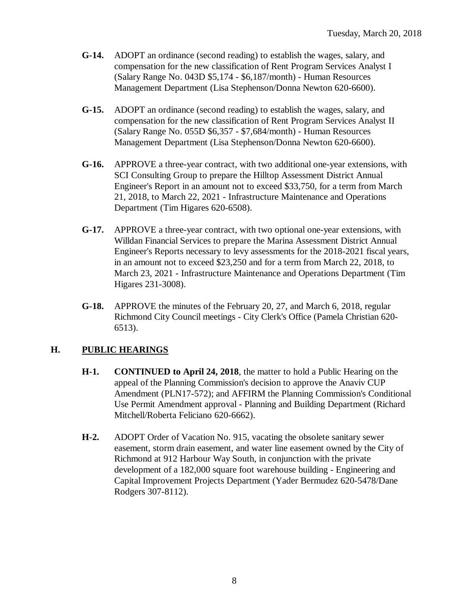- **G-14.** ADOPT an ordinance (second reading) to establish the wages, salary, and compensation for the new classification of Rent Program Services Analyst I (Salary Range No. 043D \$5,174 - \$6,187/month) - Human Resources Management Department (Lisa Stephenson/Donna Newton 620-6600).
- **G-15.** ADOPT an ordinance (second reading) to establish the wages, salary, and compensation for the new classification of Rent Program Services Analyst II (Salary Range No. 055D \$6,357 - \$7,684/month) - Human Resources Management Department (Lisa Stephenson/Donna Newton 620-6600).
- **G-16.** APPROVE a three-year contract, with two additional one-year extensions, with SCI Consulting Group to prepare the Hilltop Assessment District Annual Engineer's Report in an amount not to exceed \$33,750, for a term from March 21, 2018, to March 22, 2021 - Infrastructure Maintenance and Operations Department (Tim Higares 620-6508).
- **G-17.** APPROVE a three-year contract, with two optional one-year extensions, with Willdan Financial Services to prepare the Marina Assessment District Annual Engineer's Reports necessary to levy assessments for the 2018-2021 fiscal years, in an amount not to exceed \$23,250 and for a term from March 22, 2018, to March 23, 2021 - Infrastructure Maintenance and Operations Department (Tim Higares 231-3008).
- **G-18.** APPROVE the minutes of the February 20, 27, and March 6, 2018, regular Richmond City Council meetings - City Clerk's Office (Pamela Christian 620- 6513).

### **H. PUBLIC HEARINGS**

- **H-1. CONTINUED to April 24, 2018**, the matter to hold a Public Hearing on the appeal of the Planning Commission's decision to approve the Anaviv CUP Amendment (PLN17-572); and AFFIRM the Planning Commission's Conditional Use Permit Amendment approval - Planning and Building Department (Richard Mitchell/Roberta Feliciano 620-6662).
- **H-2.** ADOPT Order of Vacation No. 915, vacating the obsolete sanitary sewer easement, storm drain easement, and water line easement owned by the City of Richmond at 912 Harbour Way South, in conjunction with the private development of a 182,000 square foot warehouse building - Engineering and Capital Improvement Projects Department (Yader Bermudez 620-5478/Dane Rodgers 307-8112).